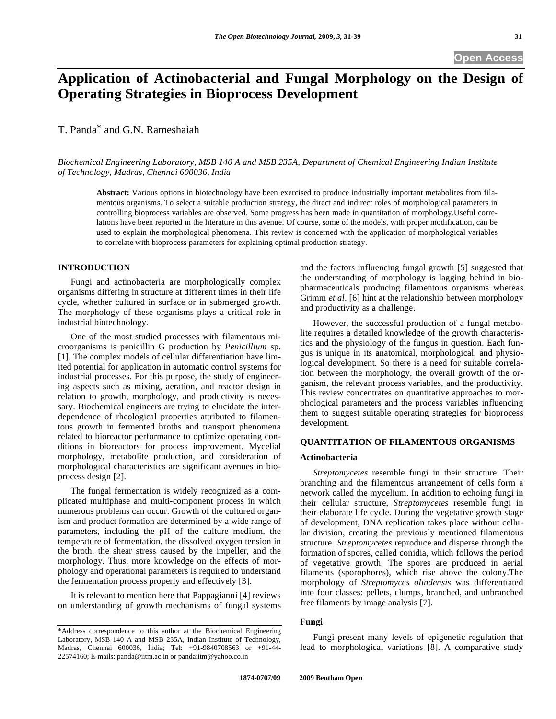# **Application of Actinobacterial and Fungal Morphology on the Design of Operating Strategies in Bioprocess Development**

T. Panda\* and G.N. Rameshaiah

*Biochemical Engineering Laboratory, MSB 140 A and MSB 235A, Department of Chemical Engineering Indian Institute of Technology, Madras, Chennai 600036, India* 

**Abstract:** Various options in biotechnology have been exercised to produce industrially important metabolites from filamentous organisms. To select a suitable production strategy, the direct and indirect roles of morphological parameters in controlling bioprocess variables are observed. Some progress has been made in quantitation of morphology.Useful correlations have been reported in the literature in this avenue. Of course, some of the models, with proper modification, can be used to explain the morphological phenomena. This review is concerned with the application of morphological variables to correlate with bioprocess parameters for explaining optimal production strategy.

## **INTRODUCTION**

 Fungi and actinobacteria are morphologically complex organisms differing in structure at different times in their life cycle, whether cultured in surface or in submerged growth. The morphology of these organisms plays a critical role in industrial biotechnology.

 One of the most studied processes with filamentous microorganisms is penicillin G production by *Penicillium* sp. [1]. The complex models of cellular differentiation have limited potential for application in automatic control systems for industrial processes. For this purpose, the study of engineering aspects such as mixing, aeration, and reactor design in relation to growth, morphology, and productivity is necessary. Biochemical engineers are trying to elucidate the interdependence of rheological properties attributed to filamentous growth in fermented broths and transport phenomena related to bioreactor performance to optimize operating conditions in bioreactors for process improvement. Mycelial morphology, metabolite production, and consideration of morphological characteristics are significant avenues in bioprocess design [2].

 The fungal fermentation is widely recognized as a complicated multiphase and multi-component process in which numerous problems can occur. Growth of the cultured organism and product formation are determined by a wide range of parameters, including the pH of the culture medium, the temperature of fermentation, the dissolved oxygen tension in the broth, the shear stress caused by the impeller, and the morphology. Thus, more knowledge on the effects of morphology and operational parameters is required to understand the fermentation process properly and effectively [3].

 It is relevant to mention here that Pappagianni [4] reviews on understanding of growth mechanisms of fungal systems

and the factors influencing fungal growth [5] suggested that the understanding of morphology is lagging behind in biopharmaceuticals producing filamentous organisms whereas Grimm *et al*. [6] hint at the relationship between morphology and productivity as a challenge.

 However, the successful production of a fungal metabolite requires a detailed knowledge of the growth characteristics and the physiology of the fungus in question. Each fungus is unique in its anatomical, morphological, and physiological development. So there is a need for suitable correlation between the morphology, the overall growth of the organism, the relevant process variables, and the productivity. This review concentrates on quantitative approaches to morphological parameters and the process variables influencing them to suggest suitable operating strategies for bioprocess development.

## **QUANTITATION OF FILAMENTOUS ORGANISMS**

#### **Actinobacteria**

 *Streptomycetes* resemble fungi in their structure. Their branching and the filamentous arrangement of cells form a network called the mycelium. In addition to echoing fungi in their cellular structure, *Streptomycetes* resemble fungi in their elaborate life cycle. During the vegetative growth stage of development, DNA replication takes place without cellular division, creating the previously mentioned filamentous structure. *Streptomycetes* reproduce and disperse through the formation of spores, called conidia, which follows the period of vegetative growth. The spores are produced in aerial filaments (sporophores), which rise above the colony.The morphology of *Streptomyces olindensis* was differentiated into four classes: pellets, clumps, branched, and unbranched free filaments by image analysis [7].

#### **Fungi**

 Fungi present many levels of epigenetic regulation that lead to morphological variations [8]. A comparative study

<sup>\*</sup>Address correspondence to this author at the Biochemical Engineering Laboratory, MSB 140 A and MSB 235A, Indian Institute of Technology, Madras, Chennai 600036, Índia; Tel: +91-9840708563 or +91-44- 22574160; E-mails: panda@iitm.ac.in or pandaiitm@yahoo.co.in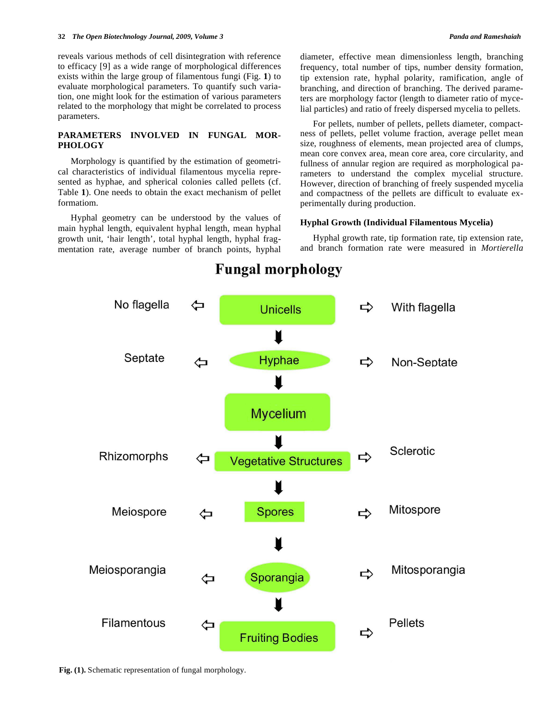reveals various methods of cell disintegration with reference to efficacy [9] as a wide range of morphological differences exists within the large group of filamentous fungi (Fig. **1**) to evaluate morphological parameters. To quantify such variation, one might look for the estimation of various parameters related to the morphology that might be correlated to process parameters.

# **PARAMETERS INVOLVED IN FUNGAL MOR-PHOLOGY**

 Morphology is quantified by the estimation of geometrical characteristics of individual filamentous mycelia represented as hyphae, and spherical colonies called pellets (cf. Table **1**). One needs to obtain the exact mechanism of pellet formatiom.

 Hyphal geometry can be understood by the values of main hyphal length, equivalent hyphal length, mean hyphal growth unit, 'hair length', total hyphal length, hyphal fragmentation rate, average number of branch points, hyphal diameter, effective mean dimensionless length, branching frequency, total number of tips, number density formation, tip extension rate, hyphal polarity, ramification, angle of branching, and direction of branching. The derived parameters are morphology factor (length to diameter ratio of mycelial particles) and ratio of freely dispersed mycelia to pellets.

 For pellets, number of pellets, pellets diameter, compactness of pellets, pellet volume fraction, average pellet mean size, roughness of elements, mean projected area of clumps, mean core convex area, mean core area, core circularity, and fullness of annular region are required as morphological parameters to understand the complex mycelial structure. However, direction of branching of freely suspended mycelia and compactness of the pellets are difficult to evaluate experimentally during production.

#### **Hyphal Growth (Individual Filamentous Mycelia)**

 Hyphal growth rate, tip formation rate, tip extension rate, and branch formation rate were measured in *Mortierella* 



# **Fungal morphology**

**Fig. (1).** Schematic representation of fungal morphology.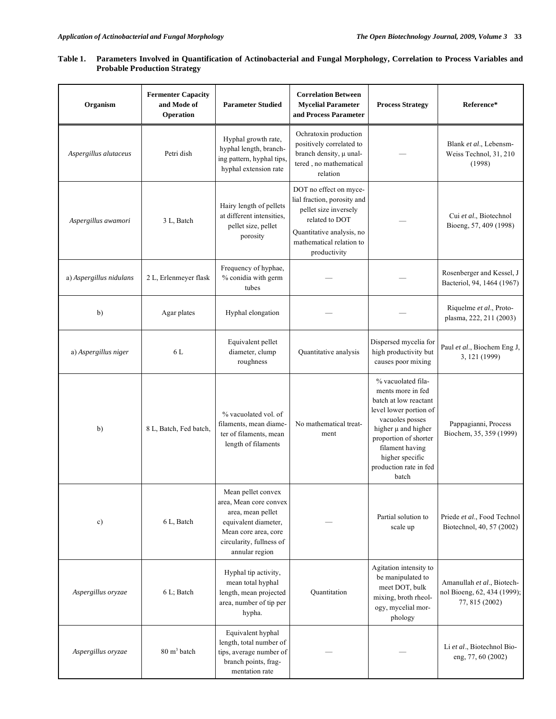# **Table 1. Parameters Involved in Quantification of Actinobacterial and Fungal Morphology, Correlation to Process Variables and Probable Production Strategy**

| Organism                | <b>Fermenter Capacity</b><br>and Mode of<br>Operation | <b>Parameter Studied</b>                                                                                                                                        | <b>Correlation Between</b><br><b>Mycelial Parameter</b><br>and Process Parameter                                                                                          | <b>Process Strategy</b>                                                                                                                                                                                                                    | Reference*                                                                  |
|-------------------------|-------------------------------------------------------|-----------------------------------------------------------------------------------------------------------------------------------------------------------------|---------------------------------------------------------------------------------------------------------------------------------------------------------------------------|--------------------------------------------------------------------------------------------------------------------------------------------------------------------------------------------------------------------------------------------|-----------------------------------------------------------------------------|
| Aspergillus alutaceus   | Petri dish                                            | Hyphal growth rate,<br>hyphal length, branch-<br>ing pattern, hyphal tips,<br>hyphal extension rate                                                             | Ochratoxin production<br>positively correlated to<br>branch density, $\mu$ unal-<br>tered, no mathematical<br>relation                                                    |                                                                                                                                                                                                                                            | Blank et al., Lebensm-<br>Weiss Technol, 31, 210<br>(1998)                  |
| Aspergillus awamori     | 3 L, Batch                                            | Hairy length of pellets<br>at different intensities.<br>pellet size, pellet<br>porosity                                                                         | DOT no effect on myce-<br>lial fraction, porosity and<br>pellet size inversely<br>related to DOT<br>Quantitative analysis, no<br>mathematical relation to<br>productivity |                                                                                                                                                                                                                                            | Cui et al., Biotechnol<br>Bioeng, 57, 409 (1998)                            |
| a) Aspergillus nidulans | 2 L, Erlenmeyer flask                                 | Frequency of hyphae,<br>% conidia with germ<br>tubes                                                                                                            |                                                                                                                                                                           |                                                                                                                                                                                                                                            | Rosenberger and Kessel, J<br>Bacteriol, 94, 1464 (1967)                     |
| b)                      | Agar plates                                           | Hyphal elongation                                                                                                                                               |                                                                                                                                                                           |                                                                                                                                                                                                                                            | Riquelme et al., Proto-<br>plasma, 222, 211 (2003)                          |
| a) Aspergillus niger    | 6 L                                                   | Equivalent pellet<br>diameter, clump<br>roughness                                                                                                               | Quantitative analysis                                                                                                                                                     | Dispersed mycelia for<br>high productivity but<br>causes poor mixing                                                                                                                                                                       | Paul et al., Biochem Eng J,<br>3, 121 (1999)                                |
| b)                      | 8 L, Batch, Fed batch,                                | % vacuolated vol. of<br>filaments, mean diame-<br>ter of filaments, mean<br>length of filaments                                                                 | No mathematical treat-<br>ment                                                                                                                                            | % vacuolated fila-<br>ments more in fed<br>batch at low reactant<br>level lower portion of<br>vacuoles posses<br>higher $\mu$ and higher<br>proportion of shorter<br>filament having<br>higher specific<br>production rate in fed<br>batch | Pappagianni, Process<br>Biochem, 35, 359 (1999)                             |
| c)                      | 6 L, Batch                                            | Mean pellet convex<br>area, Mean core convex<br>area, mean pellet<br>equivalent diameter,<br>Mean core area, core<br>circularity, fullness of<br>annular region |                                                                                                                                                                           | Partial solution to<br>scale up                                                                                                                                                                                                            | Priede et al., Food Technol<br>Biotechnol, 40, 57 (2002)                    |
| Aspergillus oryzae      | 6 L; Batch                                            | Hyphal tip activity,<br>mean total hyphal<br>length, mean projected<br>area, number of tip per<br>hypha.                                                        | Quantitation                                                                                                                                                              | Agitation intensity to<br>be manipulated to<br>meet DOT, bulk<br>mixing, broth rheol-<br>ogy, mycelial mor-<br>phology                                                                                                                     | Amanullah et al., Biotech-<br>nol Bioeng, 62, 434 (1999);<br>77, 815 (2002) |
| Aspergillus oryzae      | $80 \text{ m}^3$ batch                                | Equivalent hyphal<br>length, total number of<br>tips, average number of<br>branch points, frag-<br>mentation rate                                               |                                                                                                                                                                           |                                                                                                                                                                                                                                            | Li et al., Biotechnol Bio-<br>eng, 77, 60 (2002)                            |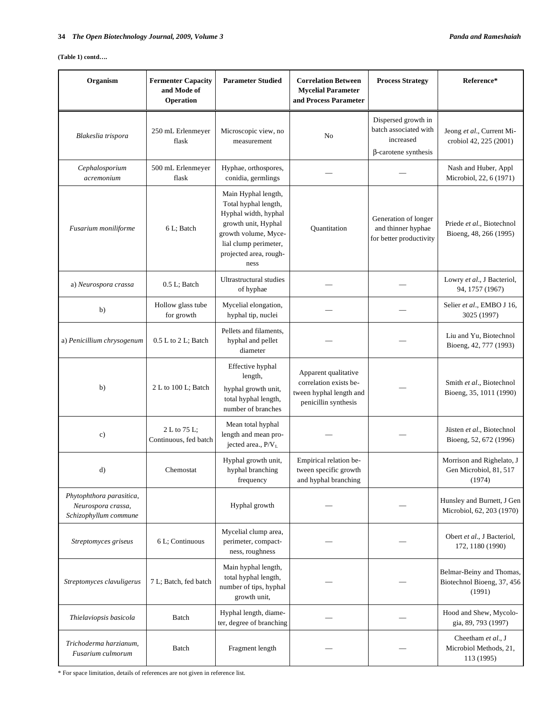#### **(Table 1) contd….**

| Organism                                                                | <b>Fermenter Capacity</b><br>and Mode of<br>Operation | <b>Parameter Studied</b>                                                                                                                                                      | <b>Correlation Between</b><br><b>Mycelial Parameter</b><br>and Process Parameter                  | <b>Process Strategy</b>                                                                  | Reference*                                                       |
|-------------------------------------------------------------------------|-------------------------------------------------------|-------------------------------------------------------------------------------------------------------------------------------------------------------------------------------|---------------------------------------------------------------------------------------------------|------------------------------------------------------------------------------------------|------------------------------------------------------------------|
| Blakeslia trispora                                                      | 250 mL Erlenmeyer<br>flask                            | Microscopic view, no<br>measurement                                                                                                                                           | No                                                                                                | Dispersed growth in<br>batch associated with<br>increased<br>$\beta$ -carotene synthesis | Jeong et al., Current Mi-<br>crobiol 42, 225 (2001)              |
| Cephalosporium<br>acremonium                                            | 500 mL Erlenmeyer<br>flask                            | Hyphae, orthospores,<br>conidia, germlings                                                                                                                                    |                                                                                                   |                                                                                          | Nash and Huber, Appl<br>Microbiol, 22, 6 (1971)                  |
| Fusarium moniliforme                                                    | 6 L; Batch                                            | Main Hyphal length,<br>Total hyphal length,<br>Hyphal width, hyphal<br>growth unit, Hyphal<br>growth volume, Myce-<br>lial clump perimeter,<br>projected area, rough-<br>ness | Quantitation                                                                                      | Generation of longer<br>and thinner hyphae<br>for better productivity                    | Priede et al., Biotechnol<br>Bioeng, 48, 266 (1995)              |
| a) Neurospora crassa                                                    | $0.5$ L; Batch                                        | Ultrastructural studies<br>of hyphae                                                                                                                                          |                                                                                                   |                                                                                          | Lowry et al., J Bacteriol,<br>94, 1757 (1967)                    |
| b)                                                                      | Hollow glass tube<br>for growth                       | Mycelial elongation,<br>hyphal tip, nuclei                                                                                                                                    |                                                                                                   |                                                                                          | Selier et al., EMBO J 16,<br>3025 (1997)                         |
| a) Penicillium chrysogenum                                              | $0.5$ L to 2 L; Batch                                 | Pellets and filaments.<br>hyphal and pellet<br>diameter                                                                                                                       |                                                                                                   |                                                                                          | Liu and Yu, Biotechnol<br>Bioeng, 42, 777 (1993)                 |
| b)                                                                      | 2 L to 100 L; Batch                                   | Effective hyphal<br>length,<br>hyphal growth unit,<br>total hyphal length,<br>number of branches                                                                              | Apparent qualitative<br>correlation exists be-<br>tween hyphal length and<br>penicillin synthesis |                                                                                          | Smith et al., Biotechnol<br>Bioeng, 35, 1011 (1990)              |
| $\circ$ )                                                               | 2 L to 75 L;<br>Continuous, fed batch                 | Mean total hyphal<br>length and mean pro-<br>jected area., P/VL                                                                                                               |                                                                                                   |                                                                                          | Jüsten et al., Biotechnol<br>Bioeng, 52, 672 (1996)              |
| d)                                                                      | Chemostat                                             | Hyphal growth unit,<br>hyphal branching<br>frequency                                                                                                                          | Empirical relation be-<br>tween specific growth<br>and hyphal branching                           |                                                                                          | Morrison and Righelato, J<br>Gen Microbiol, 81, 517<br>(1974)    |
| Phytophthora parasitica,<br>Neurospora crassa,<br>Schizophyllum commune |                                                       | Hyphal growth                                                                                                                                                                 |                                                                                                   |                                                                                          | Hunsley and Burnett, J Gen<br>Microbiol, 62, 203 (1970)          |
| Streptomyces griseus                                                    | 6 L; Continuous                                       | Mycelial clump area,<br>perimeter, compact-<br>ness, roughness                                                                                                                |                                                                                                   |                                                                                          | Obert et al., J Bacteriol,<br>172, 1180 (1990)                   |
| Streptomyces clavuligerus                                               | 7 L; Batch, fed batch                                 | Main hyphal length,<br>total hyphal length,<br>number of tips, hyphal<br>growth unit,                                                                                         |                                                                                                   |                                                                                          | Belmar-Beiny and Thomas,<br>Biotechnol Bioeng, 37, 456<br>(1991) |
| Thielaviopsis basicola                                                  | Batch                                                 | Hyphal length, diame-<br>ter, degree of branching                                                                                                                             |                                                                                                   |                                                                                          | Hood and Shew, Mycolo-<br>gia, 89, 793 (1997)                    |
| Trichoderma harzianum,<br>Fusarium culmorum                             | Batch                                                 | Fragment length                                                                                                                                                               |                                                                                                   |                                                                                          | Cheetham et al., J<br>Microbiol Methods, 21,<br>113 (1995)       |

\* For space limitation, details of references are not given in reference list.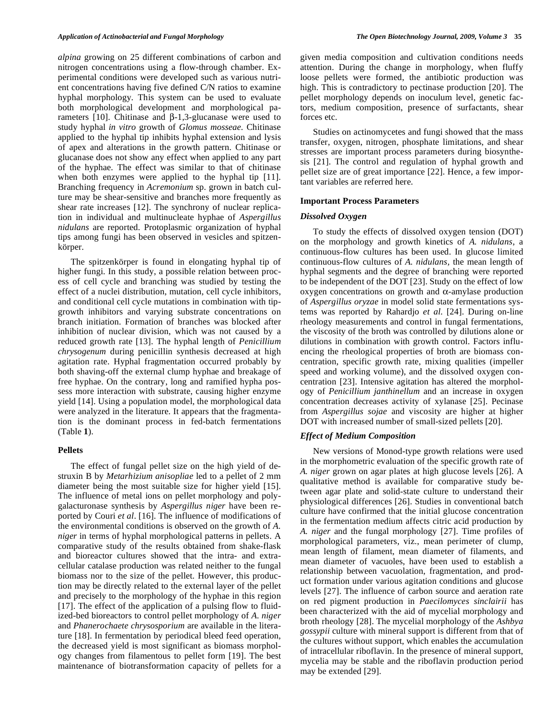*alpina* growing on 25 different combinations of carbon and nitrogen concentrations using a flow-through chamber. Experimental conditions were developed such as various nutrient concentrations having five defined C/N ratios to examine hyphal morphology*.* This system can be used to evaluate both morphological development and morphological parameters [10]. Chitinase and  $\beta$ -1,3-glucanase were used to study hyphal *in vitro* growth of *Glomus mosseae.* Chitinase applied to the hyphal tip inhibits hyphal extension and lysis of apex and alterations in the growth pattern. Chitinase or glucanase does not show any effect when applied to any part of the hyphae. The effect was similar to that of chitinase when both enzymes were applied to the hyphal tip [11]. Branching frequency in *Acremonium* sp. grown in batch culture may be shear-sensitive and branches more frequently as shear rate increases [12]. The synchrony of nuclear replication in individual and multinucleate hyphae of *Aspergillus nidulans* are reported. Protoplasmic organization of hyphal tips among fungi has been observed in vesicles and spitzenkörper.

 The spitzenkörper is found in elongating hyphal tip of higher fungi. In this study, a possible relation between process of cell cycle and branching was studied by testing the effect of a nuclei distribution, mutation, cell cycle inhibitors, and conditional cell cycle mutations in combination with tipgrowth inhibitors and varying substrate concentrations on branch initiation. Formation of branches was blocked after inhibition of nuclear division, which was not caused by a reduced growth rate [13]. The hyphal length of *Penicillium chrysogenum* during penicillin synthesis decreased at high agitation rate. Hyphal fragmentation occurred probably by both shaving-off the external clump hyphae and breakage of free hyphae. On the contrary, long and ramified hypha possess more interaction with substrate, causing higher enzyme yield [14]. Using a population model, the morphological data were analyzed in the literature. It appears that the fragmentation is the dominant process in fed-batch fermentations (Table **1**).

#### **Pellets**

 The effect of fungal pellet size on the high yield of destruxin B by *Metarhizium anisopliae* led to a pellet of 2 mm diameter being the most suitable size for higher yield [15]. The influence of metal ions on pellet morphology and polygalacturonase synthesis by *Aspergillus niger* have been reported by Couri *et al*. [16]. The influence of modifications of the environmental conditions is observed on the growth of *A. niger* in terms of hyphal morphological patterns in pellets. A comparative study of the results obtained from shake-flask and bioreactor cultures showed that the intra- and extracellular catalase production was related neither to the fungal biomass nor to the size of the pellet. However, this production may be directly related to the external layer of the pellet and precisely to the morphology of the hyphae in this region [17]. The effect of the application of a pulsing flow to fluidized-bed bioreactors to control pellet morphology of *A. niger* and *Phanerochaete chrysosporium* are available in the literature [18]. In fermentation by periodical bleed feed operation, the decreased yield is most significant as biomass morphology changes from filamentous to pellet form [19]. The best maintenance of biotransformation capacity of pellets for a

given media composition and cultivation conditions needs attention. During the change in morphology, when fluffy loose pellets were formed, the antibiotic production was high. This is contradictory to pectinase production [20]. The pellet morphology depends on inoculum level, genetic factors, medium composition, presence of surfactants, shear forces etc.

 Studies on actinomycetes and fungi showed that the mass transfer, oxygen, nitrogen, phosphate limitations, and shear stresses are important process parameters during biosynthesis [21]. The control and regulation of hyphal growth and pellet size are of great importance [22]. Hence, a few important variables are referred here.

#### **Important Process Parameters**

## *Dissolved Oxygen*

 To study the effects of dissolved oxygen tension (DOT) on the morphology and growth kinetics of *A. nidulans*, a continuous-flow cultures has been used. In glucose limited continuous-flow cultures of *A. nidulans,* the mean length of hyphal segments and the degree of branching were reported to be independent of the DOT [23]. Study on the effect of low  $oxygen$  concentrations on growth and  $\alpha$ -amylase production of *Aspergillus oryzae* in model solid state fermentations systems was reported by Rahardjo *et al*. [24]. During on-line rheology measurements and control in fungal fermentations, the viscosity of the broth was controlled by dilutions alone or dilutions in combination with growth control. Factors influencing the rheological properties of broth are biomass concentration, specific growth rate, mixing qualities (impeller speed and working volume), and the dissolved oxygen concentration [23]. Intensive agitation has altered the morphology of *Penicillium janthinellum* and an increase in oxygen concentration decreases activity of xylanase [25]. Pecinase from *Aspergillus sojae* and viscosity are higher at higher DOT with increased number of small-sized pellets [20].

# *Effect of Medium Composition*

 New versions of Monod-type growth relations were used in the morphometric evaluation of the specific growth rate of *A. niger* grown on agar plates at high glucose levels [26]. A qualitative method is available for comparative study between agar plate and solid-state culture to understand their physiological differences [26]. Studies in conventional batch culture have confirmed that the initial glucose concentration in the fermentation medium affects citric acid production by *A. niger* and the fungal morphology [27]. Time profiles of morphological parameters, viz., mean perimeter of clump, mean length of filament, mean diameter of filaments, and mean diameter of vacuoles, have been used to establish a relationship between vacuolation, fragmentation, and product formation under various agitation conditions and glucose levels [27]. The influence of carbon source and aeration rate on red pigment production in *Paecilomyces sinclairii* has been characterized with the aid of mycelial morphology and broth rheology [28]. The mycelial morphology of the *Ashbya gossypii* culture with mineral support is different from that of the cultures without support, which enables the accumulation of intracellular riboflavin. In the presence of mineral support, mycelia may be stable and the riboflavin production period may be extended [29].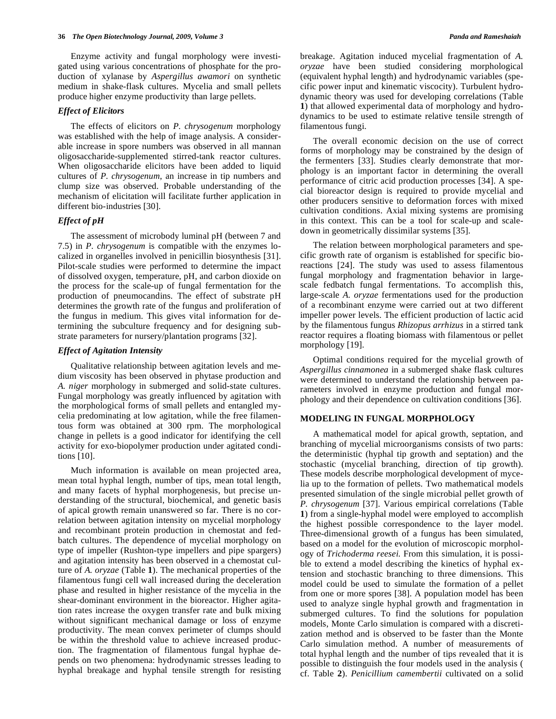Enzyme activity and fungal morphology were investigated using various concentrations of phosphate for the production of xylanase by *Aspergillus awamori* on synthetic medium in shake-flask cultures. Mycelia and small pellets produce higher enzyme productivity than large pellets.

# *Effect of Elicitors*

 The effects of elicitors on *P. chrysogenum* morphology was established with the help of image analysis. A considerable increase in spore numbers was observed in all mannan oligosaccharide-supplemented stirred-tank reactor cultures. When oligosaccharide elicitors have been added to liquid cultures of *P. chrysogenum*, an increase in tip numbers and clump size was observed. Probable understanding of the mechanism of elicitation will facilitate further application in different bio-industries [30].

## *Effect of pH*

 The assessment of microbody luminal pH (between 7 and 7.5) in *P. chrysogenum* is compatible with the enzymes localized in organelles involved in penicillin biosynthesis [31]. Pilot-scale studies were performed to determine the impact of dissolved oxygen, temperature, pH, and carbon dioxide on the process for the scale-up of fungal fermentation for the production of pneumocandins. The effect of substrate pH determines the growth rate of the fungus and proliferation of the fungus in medium. This gives vital information for determining the subculture frequency and for designing substrate parameters for nursery/plantation programs [32].

## *Effect of Agitation Intensity*

 Qualitative relationship between agitation levels and medium viscosity has been observed in phytase production and *A. niger* morphology in submerged and solid-state cultures. Fungal morphology was greatly influenced by agitation with the morphological forms of small pellets and entangled mycelia predominating at low agitation, while the free filamentous form was obtained at 300 rpm. The morphological change in pellets is a good indicator for identifying the cell activity for exo-biopolymer production under agitated conditions [10].

 Much information is available on mean projected area, mean total hyphal length, number of tips, mean total length, and many facets of hyphal morphogenesis, but precise understanding of the structural, biochemical, and genetic basis of apical growth remain unanswered so far. There is no correlation between agitation intensity on mycelial morphology and recombinant protein production in chemostat and fedbatch cultures. The dependence of mycelial morphology on type of impeller (Rushton-type impellers and pipe spargers) and agitation intensity has been observed in a chemostat culture of *A. oryzae* (Table **1**). The mechanical properties of the filamentous fungi cell wall increased during the deceleration phase and resulted in higher resistance of the mycelia in the shear-dominant environment in the bioreactor. Higher agitation rates increase the oxygen transfer rate and bulk mixing without significant mechanical damage or loss of enzyme productivity. The mean convex perimeter of clumps should be within the threshold value to achieve increased production. The fragmentation of filamentous fungal hyphae depends on two phenomena: hydrodynamic stresses leading to hyphal breakage and hyphal tensile strength for resisting breakage. Agitation induced mycelial fragmentation of *A. oryzae* have been studied considering morphological (equivalent hyphal length) and hydrodynamic variables (specific power input and kinematic viscocity). Turbulent hydrodynamic theory was used for developing correlations (Table **1**) that allowed experimental data of morphology and hydrodynamics to be used to estimate relative tensile strength of filamentous fungi.

 The overall economic decision on the use of correct forms of morphology may be constrained by the design of the fermenters [33]. Studies clearly demonstrate that morphology is an important factor in determining the overall performance of citric acid production processes [34]. A special bioreactor design is required to provide mycelial and other producers sensitive to deformation forces with mixed cultivation conditions. Axial mixing systems are promising in this context. This can be a tool for scale-up and scaledown in geometrically dissimilar systems [35].

 The relation between morphological parameters and specific growth rate of organism is established for specific bioreactions [24]. The study was used to assess filamentous fungal morphology and fragmentation behavior in largescale fedbatch fungal fermentations. To accomplish this, large-scale *A. oryzae* fermentations used for the production of a recombinant enzyme were carried out at two different impeller power levels. The efficient production of lactic acid by the filamentous fungus *Rhizopus arrhizus* in a stirred tank reactor requires a floating biomass with filamentous or pellet morphology [19].

 Optimal conditions required for the mycelial growth of *Aspergillus cinnamonea* in a submerged shake flask cultures were determined to understand the relationship between parameters involved in enzyme production and fungal morphology and their dependence on cultivation conditions [36].

## **MODELING IN FUNGAL MORPHOLOGY**

 A mathematical model for apical growth, septation, and branching of mycelial microorganisms consists of two parts: the deterministic (hyphal tip growth and septation) and the stochastic (mycelial branching, direction of tip growth). These models describe morphological development of mycelia up to the formation of pellets. Two mathematical models presented simulation of the single microbial pellet growth of *P. chrysogenum* [37]. Various empirical correlations (Table **1**) from a single-hyphal model were employed to accomplish the highest possible correspondence to the layer model. Three-dimensional growth of a fungus has been simulated, based on a model for the evolution of microscopic morphology of *Trichoderma reesei.* From this simulation, it is possible to extend a model describing the kinetics of hyphal extension and stochastic branching to three dimensions. This model could be used to simulate the formation of a pellet from one or more spores [38]. A population model has been used to analyze single hyphal growth and fragmentation in submerged cultures. To find the solutions for population models, Monte Carlo simulation is compared with a discretization method and is observed to be faster than the Monte Carlo simulation method. A number of measurements of total hyphal length and the number of tips revealed that it is possible to distinguish the four models used in the analysis ( cf. Table **2**). *Penicillium camembertii* cultivated on a solid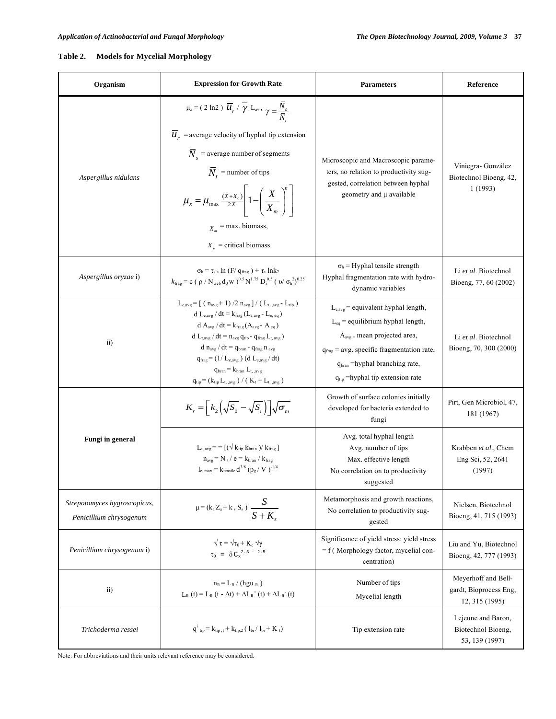# **Table 2. Models for Mycelial Morphology**

| Organism                                                | <b>Expression for Growth Rate</b>                                                                                                                                                                                                                                                                                                                                                                                                                                                                                                                                        | <b>Parameters</b>                                                                                                                                                                                                                                           | Reference                                                       |
|---------------------------------------------------------|--------------------------------------------------------------------------------------------------------------------------------------------------------------------------------------------------------------------------------------------------------------------------------------------------------------------------------------------------------------------------------------------------------------------------------------------------------------------------------------------------------------------------------------------------------------------------|-------------------------------------------------------------------------------------------------------------------------------------------------------------------------------------------------------------------------------------------------------------|-----------------------------------------------------------------|
| Aspergillus nidulans                                    | $\mu_x = (2 \ln 2) \overline{u}_r / \overline{\gamma} L_{av}, \overline{\gamma} = \frac{\overline{N}_s}{\overline{N}}$<br>$\overline{\mathcal{U}}_r$ = average velocity of hyphal tip extension<br>$\overline{N}_{s}$ = average number of segments<br>$\overline{N}_{t}$ = number of tips<br>$\mu_x = \mu_{\text{max}} \frac{(X+X_c)}{2X} \left[ 1 - \left( \frac{X}{X_m} \right)^n \right]$<br>$X_n$ = max. biomass,<br>$X_c$ = critical biomass                                                                                                                        | Microscopic and Macroscopic parame-<br>ters, no relation to productivity sug-<br>gested, correlation between hyphal<br>geometry and $\mu$ available                                                                                                         | Viniegra- González<br>Biotechnol Bioeng, 42,<br>1(1993)         |
| Aspergillus oryzae i)                                   | $\sigma_{\rm h} = \tau_{\rm s} \ln (F / g_{\rm frag}) + \tau_{\rm s} \ln k_2$<br>$k_{\text{frag}} = c$ ( $\rho$ / N <sub>web</sub> d <sub>0</sub> w ) <sup>0.5</sup> N <sup>1.75</sup> D <sub>1</sub> <sup>0.5</sup> ( v/ $\sigma_h^2$ ) <sup>0.25</sup>                                                                                                                                                                                                                                                                                                                 | $\sigma_{h}$ = Hyphal tensile strength<br>Hyphal fragmentation rate with hydro-<br>dynamic variables                                                                                                                                                        | Li et al. Biotechnol<br>Bioeng, 77, 60 (2002)                   |
| $\overline{11}$                                         | $L_{\text{e ave}} = [ (n_{\text{ave}} + 1) / 2 n_{\text{ave}} ] / (L_{\text{t ave}} - L_{\text{tin}} )$<br>d $L_{\text{e.avg}}$ / dt = $k_{\text{frac}}$ ( $L_{\text{e.avg}}$ - $L_{\text{e. eq}}$ )<br>$d A_{avg} / dt = k_{frag}(A_{avg} - A_{eq})$<br>$d L_{t,avg}/dt = n_{avg} q_{tip} - q_{frag} L_{t,avg}$<br>$d$ n <sub>ave</sub> / $dt = q_{\text{bran}} - q_{\text{frac}} n_{\text{ave}}$<br>$q_{frag} = (1/L_{e, avg}) (d L_{e, avg}/ dt)$<br>$q_{\text{bran}} = k_{\text{bran}} L_{t_{\text{.ave}}}$<br>$q_{tip} = (k_{tip} L_{t, avg}) / (K_t + L_{t, avg})$ | $L_{e,avg}$ = equivalent hyphal length,<br>$L_{eq}$ = equilibrium hyphal length,<br>$A_{avg}$ = mean projected area,<br>$q_{frag}$ = avg. specific fragmentation rate,<br>$q_{\text{bran}}$ =hyphal branching rate,<br>$q_{tip}$ =hyphal tip extension rate | Li et al. Biotechnol<br>Bioeng, 70, 300 (2000)                  |
| Fungi in general                                        | $K_r = k_2(\sqrt{S_0} - \sqrt{S_i})\sqrt{\sigma_m}$                                                                                                                                                                                                                                                                                                                                                                                                                                                                                                                      | Growth of surface colonies initially<br>developed for bacteria extended to<br>fungi                                                                                                                                                                         | Pirt, Gen Microbiol, 47,<br>181 (1967)                          |
|                                                         | $L_{t, avg} = \left[ \left( \sqrt{k_{tip} k_{bran}} \right) / k_{frag} \right]$<br>$n_{avg}$ = N <sub>t</sub> / e = $k_{brain}$ / $k_{frag}$<br>$l_{e, max} = k_{tensile} d^{3/8} (p_g / V)^{-1/4}$                                                                                                                                                                                                                                                                                                                                                                      | Avg. total hyphal length<br>Avg. number of tips<br>Max. effective length<br>No correlation on to productivity<br>suggested                                                                                                                                  | Krabben et al., Chem<br>Eng Sci, 52, 2641<br>(1997)             |
| Strepotomyces hygroscopicus,<br>Penicillium chrysogenum | $μ = (k_a Z_a + k_s S_s) \frac{S}{S + K_s}$                                                                                                                                                                                                                                                                                                                                                                                                                                                                                                                              | Metamorphosis and growth reactions,<br>No correlation to productivity sug-<br>gested                                                                                                                                                                        | Nielsen, Biotechnol<br>Bioeng, 41, 715 (1993)                   |
| Penicillium chrysogenum i)                              | $\sqrt{\tau} = \sqrt{\tau_0} + K_c \ \sqrt{\gamma}$<br>$\tau_0$ = $\delta C_x^{2.3 - 2.5}$                                                                                                                                                                                                                                                                                                                                                                                                                                                                               | Significance of yield stress: yield stress<br>$= f$ (Morphology factor, mycelial con-<br>centration)                                                                                                                                                        | Liu and Yu, Biotechnol<br>Bioeng, 42, 777 (1993)                |
| $\overline{11}$                                         | $n_R = L_R / (hgu_R)$<br>$L_{R}(t) = L_{R}(t - \Delta t) + \Delta L_{R}^{+}(t) + \Delta L_{R}^{-}(t)$                                                                                                                                                                                                                                                                                                                                                                                                                                                                    | Number of tips<br>Mycelial length                                                                                                                                                                                                                           | Meyerhoff and Bell-<br>gardt, Bioprocess Eng.<br>12, 315 (1995) |
| Trichoderma ressei                                      | $q^i_{\text{ tip}} = k_{\text{tip},1} + k_{\text{tip},2} \left( \left. l_{\text{br}} \right/ l_{\text{br}} + K_{\text{ t}} \right)$                                                                                                                                                                                                                                                                                                                                                                                                                                      | Tip extension rate                                                                                                                                                                                                                                          | Lejeune and Baron,<br>Biotechnol Bioeng,<br>53, 139 (1997)      |

Note: For abbreviations and their units relevant reference may be considered.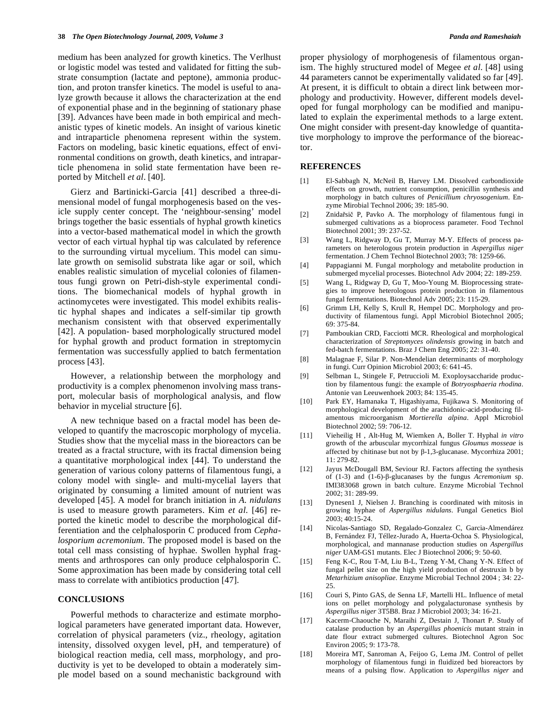medium has been analyzed for growth kinetics. The Verlhust or logistic model was tested and validated for fitting the substrate consumption (lactate and peptone), ammonia production, and proton transfer kinetics. The model is useful to analyze growth because it allows the characterization at the end of exponential phase and in the beginning of stationary phase [39]. Advances have been made in both empirical and mechanistic types of kinetic models. An insight of various kinetic and intraparticle phenomena represent within the system. Factors on modeling, basic kinetic equations, effect of environmental conditions on growth, death kinetics, and intraparticle phenomena in solid state fermentation have been reported by Mitchell *et al*. [40].

 Gierz and Bartinicki-Garcia [41] described a three-dimensional model of fungal morphogenesis based on the vesicle supply center concept. The 'neighbour-sensing' model brings together the basic essentials of hyphal growth kinetics into a vector-based mathematical model in which the growth vector of each virtual hyphal tip was calculated by reference to the surrounding virtual mycelium. This model can simulate growth on semisolid substrata like agar or soil, which enables realistic simulation of mycelial colonies of filamentous fungi grown on Petri-dish-style experimental conditions. The biomechanical models of hyphal growth in actinomycetes were investigated. This model exhibits realistic hyphal shapes and indicates a self-similar tip growth mechanism consistent with that observed experimentally [42]. A population- based morphologically structured model for hyphal growth and product formation in streptomycin fermentation was successfully applied to batch fermentation process [43].

 However, a relationship between the morphology and productivity is a complex phenomenon involving mass transport, molecular basis of morphological analysis, and flow behavior in mycelial structure [6].

 A new technique based on a fractal model has been developed to quantify the macroscopic morphology of mycelia. Studies show that the mycelial mass in the bioreactors can be treated as a fractal structure, with its fractal dimension being a quantitative morphological index [44]. To understand the generation of various colony patterns of filamentous fungi, a colony model with single- and multi-mycelial layers that originated by consuming a limited amount of nutrient was developed [45]. A model for branch initiation in *A. nidulans* is used to measure growth parameters. Kim *et al*. [46] reported the kinetic model to describe the morphological differentiation and the celphalosporin C produced from *Cephalosporium acremonium*. The proposed model is based on the total cell mass consisting of hyphae. Swollen hyphal fragments and arthrospores can only produce celphalosporin C. Some approximation has been made by considering total cell mass to correlate with antibiotics production [47].

## **CONCLUSIONS**

 Powerful methods to characterize and estimate morphological parameters have generated important data. However, correlation of physical parameters (viz., rheology, agitation intensity, dissolved oxygen level, pH, and temperature) of biological reaction media, cell mass, morphology, and productivity is yet to be developed to obtain a moderately simple model based on a sound mechanistic background with proper physiology of morphogenesis of filamentous organism. The highly structured model of Megee *et al*. [48] using 44 parameters cannot be experimentally validated so far [49]. At present, it is difficult to obtain a direct link between morphology and productivity. However, different models developed for fungal morphology can be modified and manipulated to explain the experimental methods to a large extent. One might consider with present-day knowledge of quantitative morphology to improve the performance of the bioreactor.

#### **REFERENCES**

- [1] El-Sabbagh N, McNeil B, Harvey LM. Dissolved carbondioxide effects on growth, nutrient consumption, penicillin synthesis and morphology in batch cultures of *Penicillium chryosogenium*. Enzyme Mirobial Technol 2006; 39: 185-90.
- [2] Znidařsič P, Pavko A. The morphology of filamentous fungi in submerged cultivations as a bioprocess parameter. Food Technol Biotechnol 2001; 39: 237-52.
- [3] Wang L, Ridgway D, Gu T, Murray M-Y. Effects of process parameters on heterologous protein production in *Aspergillus niger* fermentation. J Chem Technol Biotechnol 2003; 78: 1259-66.
- [4] Pappagianni M. Fungal morphology and metabolite production in submerged mycelial processes. Biotechnol Adv 2004; 22: 189-259.
- [5] Wang L, Ridgway D, Gu T, Moo-Young M. Bioprocessing strategies to improve heterologous protein production in filamentous fungal fermentations. Biotechnol Adv 2005; 23: 115-29.
- [6] Grimm LH, Kelly S, Krull R, Hempel DC. Morphology and productivity of filamentous fungi. Appl Microbiol Biotechnol 2005; 69: 375-84.
- [7] Pamboukian CRD, Facciotti MCR. Rheological and morphological characterization of *Streptomyces olindensis* growing in batch and fed-batch fermentations. Braz J Chem Eng 2005; 22: 31-40.
- [8] Malagnae F, Silar P. Non-Mendelian determinants of morphology in fungi. Curr Opinion Microbiol 2003; 6: 641-45.
- [9] Selbman L, Stingele F, Petruccioli M. Exoploysaccharide production by filamentous fungi: the example of *Botryosphaeria rhodina*. Antonie van Leeuwenhoek 2003; 84: 135-45.
- [10] Park EY, Hamanaka T, Higashiyama, Fujikawa S. Monitoring of morphological development of the arachidonic-acid-producing filamentous microorganism *Mortierella alpina*. Appl Microbiol Biotechnol 2002; 59: 706-12.
- [11] Vieheilig H , Alt-Hug M, Wiemken A, Boller T. Hyphal *in vitro* growth of the arbuscular mycorrhizal fungus *Gloumus mosseae* is affected by chitinase but not by  $\beta$ -1,3-glucanase. Mycorrhiza 2001; 11: 279-82.
- [12] Jayus McDougall BM, Seviour RJ. Factors affecting the synthesis of (1-3) and (1-6)- $\beta$ -glucanases by the fungus *Acremonium* sp. IMI383068 grown in batch culture. Enzyme Microbial Technol 2002; 31: 289-99.
- [13] Dynesen1 J, Nielsen J. Branching is coordinated with mitosis in growing hyphae of *Aspergillus nidulans*. Fungal Genetics Biol 2003; 40:15-24.
- [14] Nicolas-Santiago SD, Regalado-Gonzalez C, Garcia-Almendárez B, Fernández FJ, Téllez-Jurado A, Huerta-Ochoa S. Physiological, morphological, and mannanase production studies on *Aspergillus niger* UAM-GS1 mutants. Elec J Biotechnol 2006; 9: 50-60.
- [15] Feng K-C, Rou T-M, Liu B-L, Tzeng Y-M, Chang Y-N. Effect of fungal pellet size on the high yield production of destruxin b by *Metarhizium anisopliae*. Enzyme Microbial Technol 2004 ; 34: 22- 25.
- [16] Couri S, Pinto GAS, de Senna LF, Martelli HL. Influence of metal ions on pellet morphology and polygalacturonase synthesis by *Aspergillus niger* 3T5B8. Braz J Microbiol 2003; 34: 16-21.
- [17] Kacerm-Chaouche N, Maraihi Z, Destain J, Thonart P. Study of catalase production by an *Aspergillus phoenicis* mutant strain in date flour extract submerged cultures. Biotechnol Agron Soc Environ 2005; 9: 173-78.
- [18] Moreira MT, Sanroman A, Feijoo G, Lema JM. Control of pellet morphology of filamentous fungi in fluidized bed bioreactors by means of a pulsing flow. Application to *Aspergillus niger* and